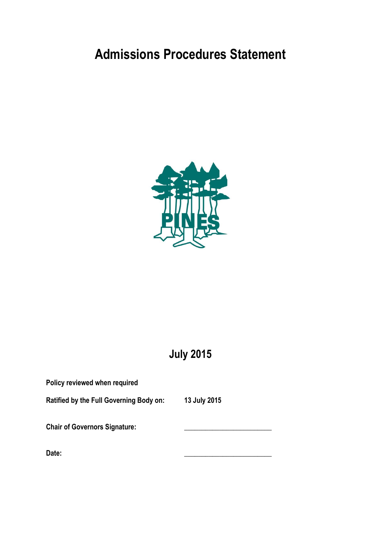# **Admissions Procedures Statement**



## **July 2015**

| Policy reviewed when required                  |              |
|------------------------------------------------|--------------|
| <b>Ratified by the Full Governing Body on:</b> | 13 July 2015 |
| <b>Chair of Governors Signature:</b>           |              |
| Date:                                          |              |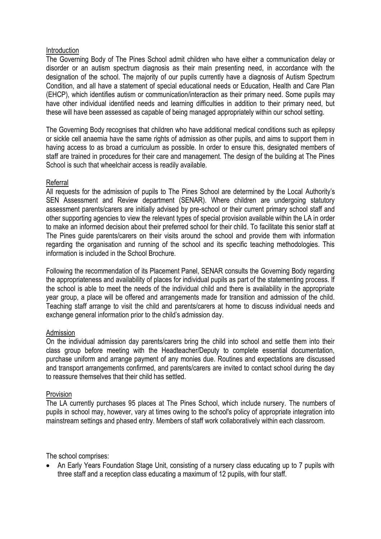## **Introduction**

The Governing Body of The Pines School admit children who have either a communication delay or disorder or an autism spectrum diagnosis as their main presenting need, in accordance with the designation of the school. The majority of our pupils currently have a diagnosis of Autism Spectrum Condition, and all have a statement of special educational needs or Education, Health and Care Plan (EHCP), which identifies autism or communication/interaction as their primary need. Some pupils may have other individual identified needs and learning difficulties in addition to their primary need, but these will have been assessed as capable of being managed appropriately within our school setting.

The Governing Body recognises that children who have additional medical conditions such as epilepsy or sickle cell anaemia have the same rights of admission as other pupils, and aims to support them in having access to as broad a curriculum as possible. In order to ensure this, designated members of staff are trained in procedures for their care and management. The design of the building at The Pines School is such that wheelchair access is readily available.

## Referral

All requests for the admission of pupils to The Pines School are determined by the Local Authority's SEN Assessment and Review department (SENAR). Where children are undergoing statutory assessment parents/carers are initially advised by pre-school or their current primary school staff and other supporting agencies to view the relevant types of special provision available within the LA in order to make an informed decision about their preferred school for their child. To facilitate this senior staff at The Pines guide parents/carers on their visits around the school and provide them with information regarding the organisation and running of the school and its specific teaching methodologies. This information is included in the School Brochure.

Following the recommendation of its Placement Panel, SENAR consults the Governing Body regarding the appropriateness and availability of places for individual pupils as part of the statementing process. If the school is able to meet the needs of the individual child and there is availability in the appropriate year group, a place will be offered and arrangements made for transition and admission of the child. Teaching staff arrange to visit the child and parents/carers at home to discuss individual needs and exchange general information prior to the child's admission day.

## Admission

On the individual admission day parents/carers bring the child into school and settle them into their class group before meeting with the Headteacher/Deputy to complete essential documentation, purchase uniform and arrange payment of any monies due. Routines and expectations are discussed and transport arrangements confirmed, and parents/carers are invited to contact school during the day to reassure themselves that their child has settled.

## Provision

The LA currently purchases 95 places at The Pines School, which include nursery. The numbers of pupils in school may, however, vary at times owing to the school's policy of appropriate integration into mainstream settings and phased entry. Members of staff work collaboratively within each classroom.

The school comprises:

• An Early Years Foundation Stage Unit, consisting of a nursery class educating up to 7 pupils with three staff and a reception class educating a maximum of 12 pupils, with four staff.